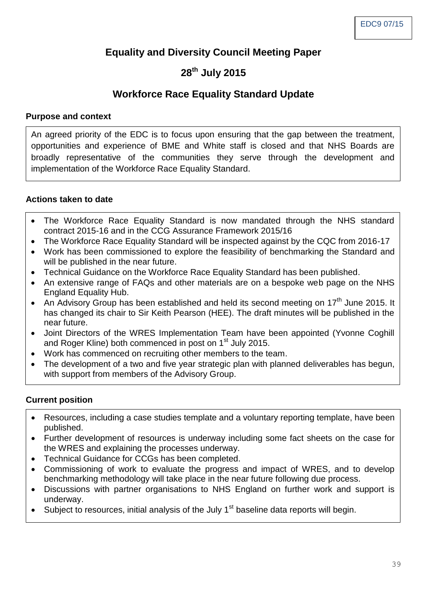## **Equality and Diversity Council Meeting Paper**

# **28th July 2015**

## **Workforce Race Equality Standard Update**

#### **Purpose and context**

An agreed priority of the EDC is to focus upon ensuring that the gap between the treatment, opportunities and experience of BME and White staff is closed and that NHS Boards are broadly representative of the communities they serve through the development and implementation of the Workforce Race Equality Standard.

### **Actions taken to date**

- The Workforce Race Equality Standard is now mandated through the NHS standard contract 2015-16 and in the CCG Assurance Framework 2015/16
- The Workforce Race Equality Standard will be inspected against by the CQC from 2016-17
- Work has been commissioned to explore the feasibility of benchmarking the Standard and will be published in the near future.
- Technical Guidance on the Workforce Race Equality Standard has been published.
- An extensive range of FAQs and other materials are on a bespoke web page on the NHS England Equality Hub.
- An Advisory Group has been established and held its second meeting on 17<sup>th</sup> June 2015. It has changed its chair to Sir Keith Pearson (HEE). The draft minutes will be published in the near future.
- Joint Directors of the WRES Implementation Team have been appointed (Yvonne Coghill and Roger Kline) both commenced in post on 1<sup>st</sup> July 2015.
- Work has commenced on recruiting other members to the team.
- The development of a two and five year strategic plan with planned deliverables has begun, with support from members of the Advisory Group.

### **Current position**

- Resources, including a case studies template and a voluntary reporting template, have been published.
- Further development of resources is underway including some fact sheets on the case for the WRES and explaining the processes underway.
- Technical Guidance for CCGs has been completed.
- Commissioning of work to evaluate the progress and impact of WRES, and to develop benchmarking methodology will take place in the near future following due process.
- Discussions with partner organisations to NHS England on further work and support is underway.
- $\bullet$  Subject to resources, initial analysis of the July 1<sup>st</sup> baseline data reports will begin.